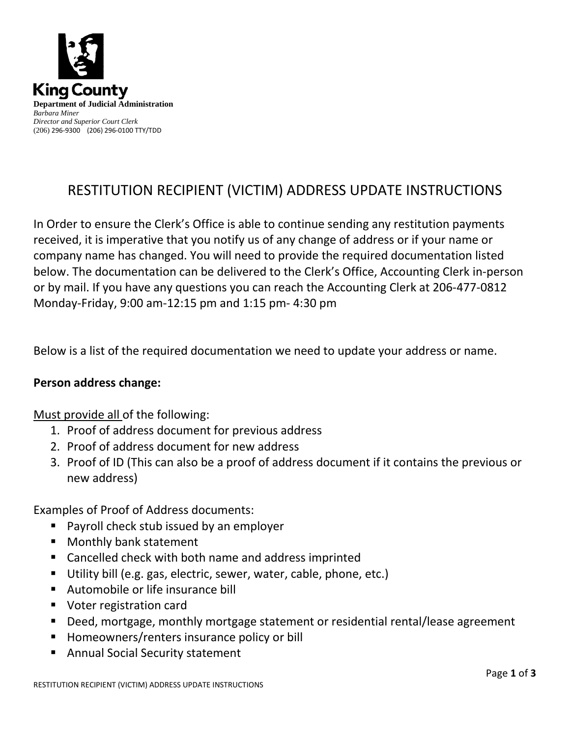

# RESTITUTION RECIPIENT (VICTIM) ADDRESS UPDATE INSTRUCTIONS

In Order to ensure the Clerk's Office is able to continue sending any restitution payments received, it is imperative that you notify us of any change of address or if your name or company name has changed. You will need to provide the required documentation listed below. The documentation can be delivered to the Clerk's Office, Accounting Clerk in-person or by mail. If you have any questions you can reach the Accounting Clerk at 206-477-0812 Monday-Friday, 9:00 am-12:15 pm and 1:15 pm- 4:30 pm

Below is a list of the required documentation we need to update your address or name.

### **Person address change:**

### Must provide all of the following:

- 1. Proof of address document for previous address
- 2. Proof of address document for new address
- 3. Proof of ID (This can also be a proof of address document if it contains the previous or new address)

Examples of Proof of Address documents:

- Payroll check stub issued by an employer
- **Monthly bank statement**
- Cancelled check with both name and address imprinted
- Utility bill (e.g. gas, electric, sewer, water, cable, phone, etc.)
- Automobile or life insurance bill
- Voter registration card
- Deed, mortgage, monthly mortgage statement or residential rental/lease agreement
- Homeowners/renters insurance policy or bill
- Annual Social Security statement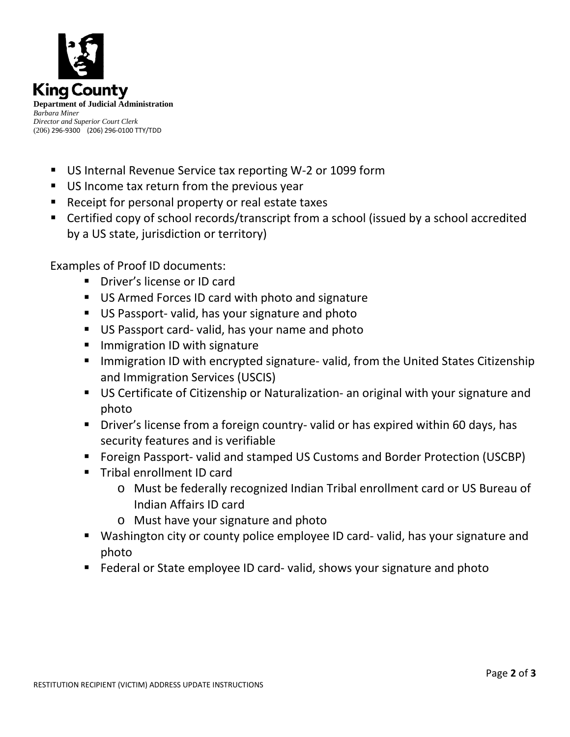

- US Internal Revenue Service tax reporting W-2 or 1099 form
- US Income tax return from the previous year
- Receipt for personal property or real estate taxes
- Certified copy of school records/transcript from a school (issued by a school accredited by a US state, jurisdiction or territory)

Examples of Proof ID documents:

- **Driver's license or ID card**
- US Armed Forces ID card with photo and signature
- US Passport- valid, has your signature and photo
- US Passport card- valid, has your name and photo
- **Immigration ID with signature**
- Immigration ID with encrypted signature- valid, from the United States Citizenship and Immigration Services (USCIS)
- US Certificate of Citizenship or Naturalization- an original with your signature and photo
- **Driver's license from a foreign country- valid or has expired within 60 days, has** security features and is verifiable
- Foreign Passport- valid and stamped US Customs and Border Protection (USCBP)
- **Tribal enrollment ID card** 
	- o Must be federally recognized Indian Tribal enrollment card or US Bureau of Indian Affairs ID card
	- o Must have your signature and photo
- Washington city or county police employee ID card- valid, has your signature and photo
- **Federal or State employee ID card- valid, shows your signature and photo**